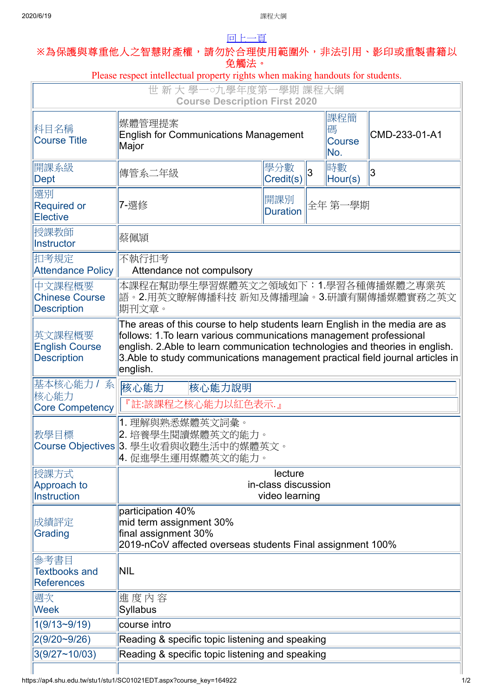## [回上一頁](javascript:history.back()) **※**為保護與尊重他人之智慧財產權,請勿於合理使用範圍外,非法引用、影印或重製書籍以

| 免觸法。                                                                                                     |                                                                                                                                                                                                                                                                                                                                  |                  |   |                                  |               |  |
|----------------------------------------------------------------------------------------------------------|----------------------------------------------------------------------------------------------------------------------------------------------------------------------------------------------------------------------------------------------------------------------------------------------------------------------------------|------------------|---|----------------------------------|---------------|--|
| Please respect intellectual property rights when making handouts for students.<br>世 新 大 學一○九學年度第一學期 課程大綱 |                                                                                                                                                                                                                                                                                                                                  |                  |   |                                  |               |  |
| <b>Course Description First 2020</b>                                                                     |                                                                                                                                                                                                                                                                                                                                  |                  |   |                                  |               |  |
| 科目名稱<br><b>Course Title</b>                                                                              | 媒體管理提案<br><b>English for Communications Management</b><br>Major                                                                                                                                                                                                                                                                  |                  |   | 課程簡<br>碼<br><b>Course</b><br>No. | CMD-233-01-A1 |  |
| 開課系級<br>Dept                                                                                             | 傳管系二年級                                                                                                                                                                                                                                                                                                                           | 學分數<br>Credit(s) | 3 | 時數<br>Hour(s)                    | 3             |  |
| 選別<br><b>Required or</b><br><b>Elective</b>                                                              | 7-選修                                                                                                                                                                                                                                                                                                                             | 開課別<br>Duration  |   | 全年 第一學期                          |               |  |
| 授課教師<br>Instructor                                                                                       | 蔡佩頴                                                                                                                                                                                                                                                                                                                              |                  |   |                                  |               |  |
| 扣考規定<br>Attendance Policy                                                                                | 不執行扣考<br>Attendance not compulsory                                                                                                                                                                                                                                                                                               |                  |   |                                  |               |  |
| 中文課程概要<br><b>Chinese Course</b><br><b>Description</b>                                                    | 本課程在幫助學生學習媒體英文之領域如下:1.學習各種傳播媒體之專業英<br> 語。2.用英文瞭解傳播科技 新知及傳播理論。3.研讀有關傳播媒體實務之英文<br>期刊文章。                                                                                                                                                                                                                                            |                  |   |                                  |               |  |
| 英文課程概要<br><b>English Course</b><br><b>Description</b>                                                    | The areas of this course to help students learn English in the media are as<br>follows: 1. To learn various communications management professional<br>english. 2.Able to learn communication technologies and theories in english.<br>3. Able to study communications management practical field journal articles in<br>english. |                  |   |                                  |               |  |
| 基本核心能力 / 系<br>核心能力<br><b>Core Competency</b>                                                             | 核心能力<br>核心能力說明<br>『註:該課程之核心能力以紅色表示.』                                                                                                                                                                                                                                                                                             |                  |   |                                  |               |  |
| 教學目標                                                                                                     | 1. 理解與熟悉媒體英文詞彙。<br>2. 培養學生閱讀媒體英文的能力。<br>Course Objectives 3. 學生收看與收聽生活中的媒體英文。<br> 4. 促進學生運用媒體英文的能力。                                                                                                                                                                                                                              |                  |   |                                  |               |  |
| 授課方式<br>Approach to<br>Instruction                                                                       | lecture<br>in-class discussion<br>video learning                                                                                                                                                                                                                                                                                 |                  |   |                                  |               |  |
| 成績評定<br>Grading                                                                                          | participation 40%<br>mid term assignment 30%<br>final assignment 30%<br>2019-nCoV affected overseas students Final assignment 100%                                                                                                                                                                                               |                  |   |                                  |               |  |
| 參考書目<br><b>Textbooks and</b><br><b>References</b>                                                        | NIL                                                                                                                                                                                                                                                                                                                              |                  |   |                                  |               |  |
| 週次<br><b>Week</b>                                                                                        | 進度內容<br><b>Syllabus</b>                                                                                                                                                                                                                                                                                                          |                  |   |                                  |               |  |
| $1(9/13-9/19)$                                                                                           | course intro                                                                                                                                                                                                                                                                                                                     |                  |   |                                  |               |  |
| 2(9/20~9/26)                                                                                             | Reading & specific topic listening and speaking                                                                                                                                                                                                                                                                                  |                  |   |                                  |               |  |
| 3(9/27~10/03)                                                                                            | Reading & specific topic listening and speaking                                                                                                                                                                                                                                                                                  |                  |   |                                  |               |  |
|                                                                                                          |                                                                                                                                                                                                                                                                                                                                  |                  |   |                                  |               |  |